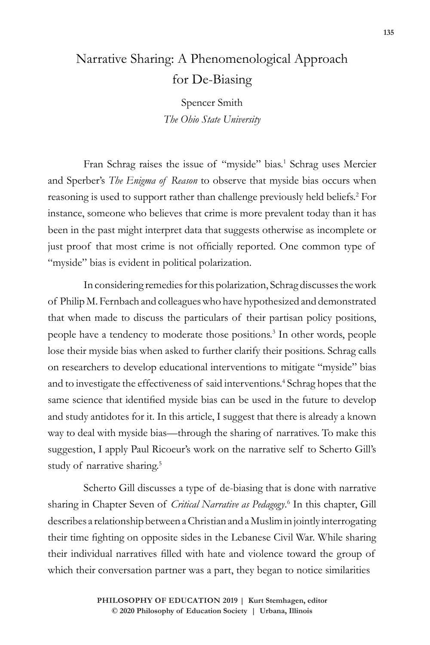# Narrative Sharing: A Phenomenological Approach for De-Biasing

Spencer Smith *The Ohio State University*

Fran Schrag raises the issue of "myside" bias.<sup>1</sup> Schrag uses Mercier and Sperber's *The Enigma of Reason* to observe that myside bias occurs when reasoning is used to support rather than challenge previously held beliefs.<sup>2</sup> For instance, someone who believes that crime is more prevalent today than it has been in the past might interpret data that suggests otherwise as incomplete or just proof that most crime is not officially reported. One common type of "myside" bias is evident in political polarization.

In considering remedies for this polarization, Schrag discusses the work of Philip M. Fernbach and colleagues who have hypothesized and demonstrated that when made to discuss the particulars of their partisan policy positions, people have a tendency to moderate those positions.<sup>3</sup> In other words, people lose their myside bias when asked to further clarify their positions. Schrag calls on researchers to develop educational interventions to mitigate "myside" bias and to investigate the effectiveness of said interventions.<sup>4</sup> Schrag hopes that the same science that identified myside bias can be used in the future to develop and study antidotes for it. In this article, I suggest that there is already a known way to deal with myside bias—through the sharing of narratives. To make this suggestion, I apply Paul Ricoeur's work on the narrative self to Scherto Gill's study of narrative sharing.<sup>5</sup>

Scherto Gill discusses a type of de-biasing that is done with narrative sharing in Chapter Seven of *Critical Narrative as Pedagogy*. 6 In this chapter, Gill describes a relationship between a Christian and a Muslim in jointly interrogating their time fighting on opposite sides in the Lebanese Civil War. While sharing their individual narratives filled with hate and violence toward the group of which their conversation partner was a part, they began to notice similarities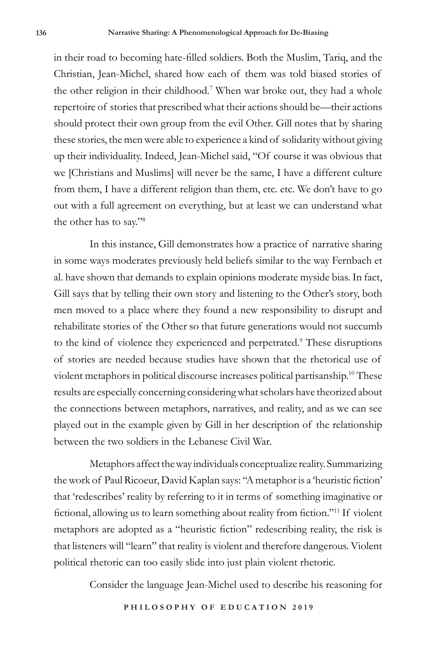in their road to becoming hate-filled soldiers. Both the Muslim, Tariq, and the Christian, Jean-Michel, shared how each of them was told biased stories of the other religion in their childhood.7 When war broke out, they had a whole repertoire of stories that prescribed what their actions should be—their actions should protect their own group from the evil Other. Gill notes that by sharing these stories, the men were able to experience a kind of solidarity without giving up their individuality. Indeed, Jean-Michel said, "Of course it was obvious that we [Christians and Muslims] will never be the same, I have a different culture from them, I have a different religion than them, etc. etc. We don't have to go out with a full agreement on everything, but at least we can understand what the other has to say."8

In this instance, Gill demonstrates how a practice of narrative sharing in some ways moderates previously held beliefs similar to the way Fernbach et al. have shown that demands to explain opinions moderate myside bias. In fact, Gill says that by telling their own story and listening to the Other's story, both men moved to a place where they found a new responsibility to disrupt and rehabilitate stories of the Other so that future generations would not succumb to the kind of violence they experienced and perpetrated.<sup>9</sup> These disruptions of stories are needed because studies have shown that the rhetorical use of violent metaphors in political discourse increases political partisanship.10 These results are especially concerning considering what scholars have theorized about the connections between metaphors, narratives, and reality, and as we can see played out in the example given by Gill in her description of the relationship between the two soldiers in the Lebanese Civil War.

Metaphors affect the way individuals conceptualize reality. Summarizing the work of Paul Ricoeur, David Kaplan says: "A metaphor is a 'heuristic fiction' that 'redescribes' reality by referring to it in terms of something imaginative or fictional, allowing us to learn something about reality from fiction."11 If violent metaphors are adopted as a "heuristic fiction" redescribing reality, the risk is that listeners will "learn" that reality is violent and therefore dangerous. Violent political rhetoric can too easily slide into just plain violent rhetoric.

Consider the language Jean-Michel used to describe his reasoning for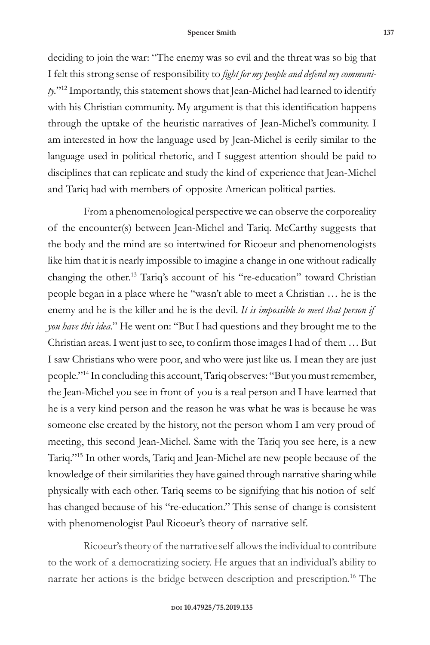deciding to join the war: "The enemy was so evil and the threat was so big that I felt this strong sense of responsibility to *fight for my people and defend my community.*"12 Importantly, this statement shows that Jean-Michel had learned to identify with his Christian community. My argument is that this identification happens through the uptake of the heuristic narratives of Jean-Michel's community. I am interested in how the language used by Jean-Michel is eerily similar to the language used in political rhetoric, and I suggest attention should be paid to disciplines that can replicate and study the kind of experience that Jean-Michel and Tariq had with members of opposite American political parties.

From a phenomenological perspective we can observe the corporeality of the encounter(s) between Jean-Michel and Tariq. McCarthy suggests that the body and the mind are so intertwined for Ricoeur and phenomenologists like him that it is nearly impossible to imagine a change in one without radically changing the other.13 Tariq's account of his "re-education" toward Christian people began in a place where he "wasn't able to meet a Christian … he is the enemy and he is the killer and he is the devil. *It is impossible to meet that person if you have this idea*." He went on: "But I had questions and they brought me to the Christian areas. I went just to see, to confirm those images I had of them … But I saw Christians who were poor, and who were just like us. I mean they are just people."14 In concluding this account, Tariq observes: "But you must remember, the Jean-Michel you see in front of you is a real person and I have learned that he is a very kind person and the reason he was what he was is because he was someone else created by the history, not the person whom I am very proud of meeting, this second Jean-Michel. Same with the Tariq you see here, is a new Tariq."<sup>15</sup> In other words, Tariq and Jean-Michel are new people because of the knowledge of their similarities they have gained through narrative sharing while physically with each other. Tariq seems to be signifying that his notion of self has changed because of his "re-education." This sense of change is consistent with phenomenologist Paul Ricoeur's theory of narrative self.

Ricoeur's theory of the narrative self allows the individual to contribute to the work of a democratizing society. He argues that an individual's ability to narrate her actions is the bridge between description and prescription.<sup>16</sup> The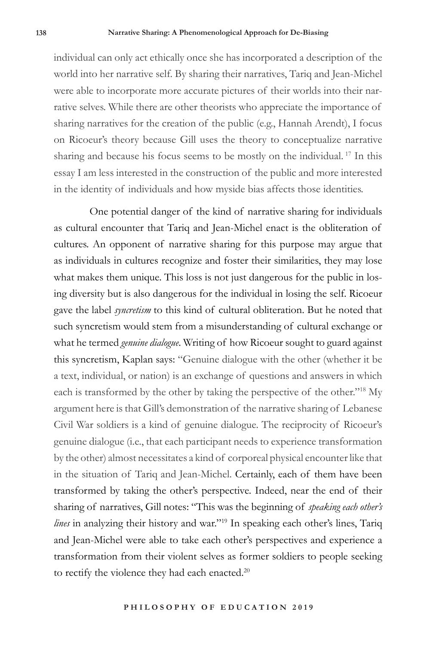individual can only act ethically once she has incorporated a description of the world into her narrative self. By sharing their narratives, Tariq and Jean-Michel were able to incorporate more accurate pictures of their worlds into their narrative selves. While there are other theorists who appreciate the importance of sharing narratives for the creation of the public (e.g., Hannah Arendt), I focus on Ricoeur's theory because Gill uses the theory to conceptualize narrative sharing and because his focus seems to be mostly on the individual. 17 In this essay I am less interested in the construction of the public and more interested in the identity of individuals and how myside bias affects those identities.

One potential danger of the kind of narrative sharing for individuals as cultural encounter that Tariq and Jean-Michel enact is the obliteration of cultures. An opponent of narrative sharing for this purpose may argue that as individuals in cultures recognize and foster their similarities, they may lose what makes them unique. This loss is not just dangerous for the public in losing diversity but is also dangerous for the individual in losing the self. Ricoeur gave the label *syncretism* to this kind of cultural obliteration. But he noted that such syncretism would stem from a misunderstanding of cultural exchange or what he termed *genuine dialogue*. Writing of how Ricoeur sought to guard against this syncretism, Kaplan says: "Genuine dialogue with the other (whether it be a text, individual, or nation) is an exchange of questions and answers in which each is transformed by the other by taking the perspective of the other."18 My argument here is that Gill's demonstration of the narrative sharing of Lebanese Civil War soldiers is a kind of genuine dialogue. The reciprocity of Ricoeur's genuine dialogue (i.e., that each participant needs to experience transformation by the other) almost necessitates a kind of corporeal physical encounter like that in the situation of Tariq and Jean-Michel. Certainly, each of them have been transformed by taking the other's perspective. Indeed, near the end of their sharing of narratives, Gill notes: "This was the beginning of *speaking each other's lines* in analyzing their history and war."19 In speaking each other's lines, Tariq and Jean-Michel were able to take each other's perspectives and experience a transformation from their violent selves as former soldiers to people seeking to rectify the violence they had each enacted.<sup>20</sup>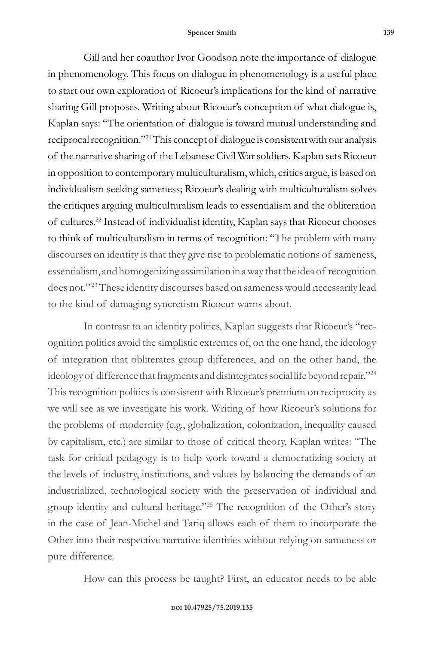Gill and her coauthor Ivor Goodson note the importance of dialogue in phenomenology. This focus on dialogue in phenomenology is a useful place to start our own exploration of Ricoeur's implications for the kind of narrative sharing Gill proposes. Writing about Ricoeur's conception of what dialogue is, Kaplan says: "The orientation of dialogue is toward mutual understanding and reciprocal recognition."21 This concept of dialogue is consistent with our analysis of the narrative sharing of the Lebanese Civil War soldiers. Kaplan sets Ricoeur in opposition to contemporary multiculturalism, which, critics argue, is based on individualism seeking sameness; Ricoeur's dealing with multiculturalism solves the critiques arguing multiculturalism leads to essentialism and the obliteration of cultures.22 Instead of individualist identity, Kaplan says that Ricoeur chooses to think of multiculturalism in terms of recognition: "The problem with many discourses on identity is that they give rise to problematic notions of sameness, essentialism, and homogenizing assimilation in a way that the idea of recognition does not."<sup>23</sup> These identity discourses based on sameness would necessarily lead to the kind of damaging syncretism Ricoeur warns about.

In contrast to an identity politics, Kaplan suggests that Ricoeur's "recognition politics avoid the simplistic extremes of, on the one hand, the ideology of integration that obliterates group differences, and on the other hand, the ideology of difference that fragments and disintegrates social life beyond repair."24 This recognition politics is consistent with Ricoeur's premium on reciprocity as we will see as we investigate his work. Writing of how Ricoeur's solutions for the problems of modernity (e.g., globalization, colonization, inequality caused by capitalism, etc.) are similar to those of critical theory, Kaplan writes: "The task for critical pedagogy is to help work toward a democratizing society at the levels of industry, institutions, and values by balancing the demands of an industrialized, technological society with the preservation of individual and group identity and cultural heritage."25 The recognition of the Other's story in the case of Jean-Michel and Tariq allows each of them to incorporate the Other into their respective narrative identities without relying on sameness or pure difference.

How can this process be taught? First, an educator needs to be able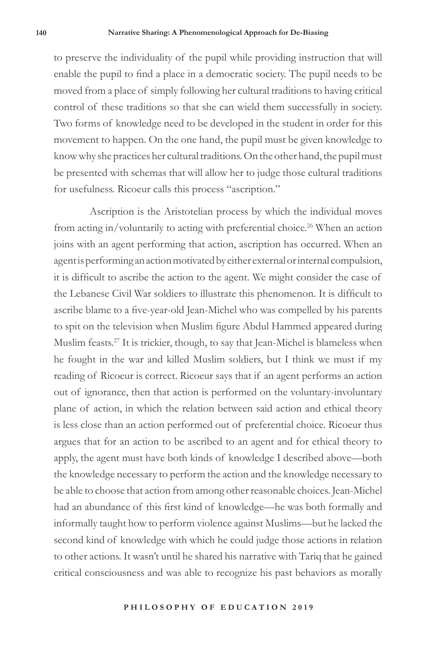to preserve the individuality of the pupil while providing instruction that will enable the pupil to find a place in a democratic society. The pupil needs to be moved from a place of simply following her cultural traditions to having critical control of these traditions so that she can wield them successfully in society. Two forms of knowledge need to be developed in the student in order for this movement to happen. On the one hand, the pupil must be given knowledge to know why she practices her cultural traditions. On the other hand, the pupil must be presented with schemas that will allow her to judge those cultural traditions for usefulness. Ricoeur calls this process "ascription."

Ascription is the Aristotelian process by which the individual moves from acting in/voluntarily to acting with preferential choice.<sup>26</sup> When an action joins with an agent performing that action, ascription has occurred. When an agent is performing an action motivated by either external or internal compulsion, it is difficult to ascribe the action to the agent. We might consider the case of the Lebanese Civil War soldiers to illustrate this phenomenon. It is difficult to ascribe blame to a five-year-old Jean-Michel who was compelled by his parents to spit on the television when Muslim figure Abdul Hammed appeared during Muslim feasts.27 It is trickier, though, to say that Jean-Michel is blameless when he fought in the war and killed Muslim soldiers, but I think we must if my reading of Ricoeur is correct. Ricoeur says that if an agent performs an action out of ignorance, then that action is performed on the voluntary-involuntary plane of action, in which the relation between said action and ethical theory is less close than an action performed out of preferential choice. Ricoeur thus argues that for an action to be ascribed to an agent and for ethical theory to apply, the agent must have both kinds of knowledge I described above—both the knowledge necessary to perform the action and the knowledge necessary to be able to choose that action from among other reasonable choices. Jean-Michel had an abundance of this first kind of knowledge—he was both formally and informally taught how to perform violence against Muslims—but he lacked the second kind of knowledge with which he could judge those actions in relation to other actions. It wasn't until he shared his narrative with Tariq that he gained critical consciousness and was able to recognize his past behaviors as morally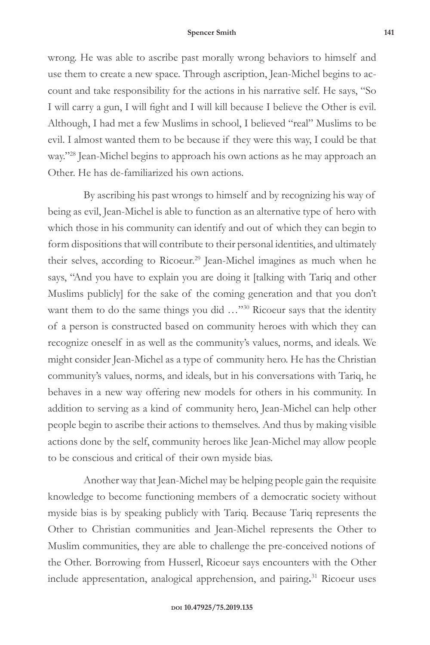wrong. He was able to ascribe past morally wrong behaviors to himself and use them to create a new space. Through ascription, Jean-Michel begins to account and take responsibility for the actions in his narrative self. He says, "So I will carry a gun, I will fight and I will kill because I believe the Other is evil. Although, I had met a few Muslims in school, I believed "real" Muslims to be evil. I almost wanted them to be because if they were this way, I could be that way."28 Jean-Michel begins to approach his own actions as he may approach an Other. He has de-familiarized his own actions.

By ascribing his past wrongs to himself and by recognizing his way of being as evil, Jean-Michel is able to function as an alternative type of hero with which those in his community can identify and out of which they can begin to form dispositions that will contribute to their personal identities, and ultimately their selves, according to Ricoeur.<sup>29</sup> Jean-Michel imagines as much when he says, "And you have to explain you are doing it [talking with Tariq and other Muslims publicly] for the sake of the coming generation and that you don't want them to do the same things you did ..."<sup>30</sup> Ricoeur says that the identity of a person is constructed based on community heroes with which they can recognize oneself in as well as the community's values, norms, and ideals. We might consider Jean-Michel as a type of community hero. He has the Christian community's values, norms, and ideals, but in his conversations with Tariq, he behaves in a new way offering new models for others in his community. In addition to serving as a kind of community hero, Jean-Michel can help other people begin to ascribe their actions to themselves. And thus by making visible actions done by the self, community heroes like Jean-Michel may allow people to be conscious and critical of their own myside bias.

Another way that Jean-Michel may be helping people gain the requisite knowledge to become functioning members of a democratic society without myside bias is by speaking publicly with Tariq. Because Tariq represents the Other to Christian communities and Jean-Michel represents the Other to Muslim communities, they are able to challenge the pre-conceived notions of the Other. Borrowing from Husserl, Ricoeur says encounters with the Other include appresentation, analogical apprehension, and pairing**.** 31 Ricoeur uses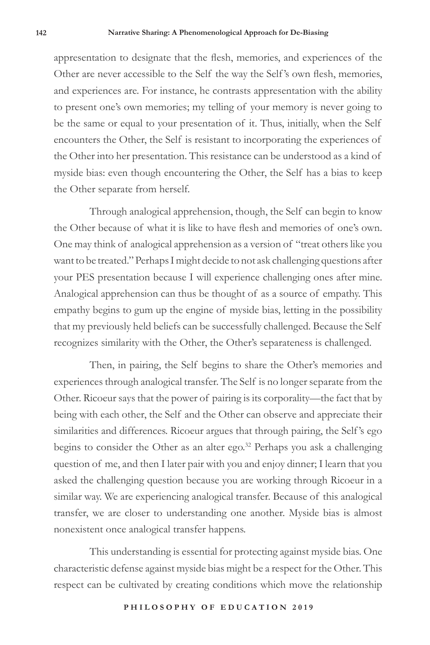appresentation to designate that the flesh, memories, and experiences of the Other are never accessible to the Self the way the Self 's own flesh, memories, and experiences are. For instance, he contrasts appresentation with the ability to present one's own memories; my telling of your memory is never going to be the same or equal to your presentation of it. Thus, initially, when the Self encounters the Other, the Self is resistant to incorporating the experiences of the Other into her presentation. This resistance can be understood as a kind of myside bias: even though encountering the Other, the Self has a bias to keep the Other separate from herself.

Through analogical apprehension, though, the Self can begin to know the Other because of what it is like to have flesh and memories of one's own. One may think of analogical apprehension as a version of "treat others like you want to be treated." Perhaps I might decide to not ask challenging questions after your PES presentation because I will experience challenging ones after mine. Analogical apprehension can thus be thought of as a source of empathy. This empathy begins to gum up the engine of myside bias, letting in the possibility that my previously held beliefs can be successfully challenged. Because the Self recognizes similarity with the Other, the Other's separateness is challenged.

Then, in pairing, the Self begins to share the Other's memories and experiences through analogical transfer. The Self is no longer separate from the Other. Ricoeur says that the power of pairing is its corporality—the fact that by being with each other, the Self and the Other can observe and appreciate their similarities and differences. Ricoeur argues that through pairing, the Self 's ego begins to consider the Other as an alter ego.<sup>32</sup> Perhaps you ask a challenging question of me, and then I later pair with you and enjoy dinner; I learn that you asked the challenging question because you are working through Ricoeur in a similar way. We are experiencing analogical transfer. Because of this analogical transfer, we are closer to understanding one another. Myside bias is almost nonexistent once analogical transfer happens.

This understanding is essential for protecting against myside bias. One characteristic defense against myside bias might be a respect for the Other. This respect can be cultivated by creating conditions which move the relationship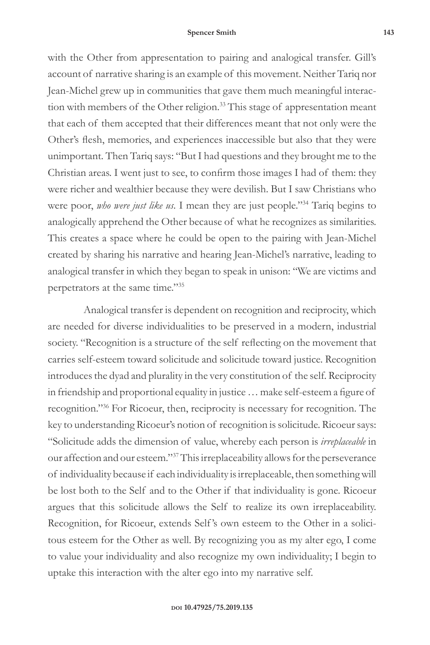with the Other from appresentation to pairing and analogical transfer. Gill's account of narrative sharing is an example of this movement. Neither Tariq nor Jean-Michel grew up in communities that gave them much meaningful interaction with members of the Other religion.<sup>33</sup> This stage of appresentation meant that each of them accepted that their differences meant that not only were the Other's flesh, memories, and experiences inaccessible but also that they were unimportant. Then Tariq says: "But I had questions and they brought me to the Christian areas. I went just to see, to confirm those images I had of them: they were richer and wealthier because they were devilish. But I saw Christians who were poor, *who were just like us*. I mean they are just people."34 Tariq begins to analogically apprehend the Other because of what he recognizes as similarities. This creates a space where he could be open to the pairing with Jean-Michel created by sharing his narrative and hearing Jean-Michel's narrative, leading to analogical transfer in which they began to speak in unison: "We are victims and perpetrators at the same time."35

Analogical transfer is dependent on recognition and reciprocity, which are needed for diverse individualities to be preserved in a modern, industrial society. "Recognition is a structure of the self reflecting on the movement that carries self-esteem toward solicitude and solicitude toward justice. Recognition introduces the dyad and plurality in the very constitution of the self. Reciprocity in friendship and proportional equality in justice … make self-esteem a figure of recognition."36 For Ricoeur, then, reciprocity is necessary for recognition. The key to understanding Ricoeur's notion of recognition is solicitude. Ricoeur says: "Solicitude adds the dimension of value, whereby each person is *irreplaceable* in our affection and our esteem."37 This irreplaceability allows for the perseverance of individuality because if each individuality is irreplaceable, then something will be lost both to the Self and to the Other if that individuality is gone. Ricoeur argues that this solicitude allows the Self to realize its own irreplaceability. Recognition, for Ricoeur, extends Self 's own esteem to the Other in a solicitous esteem for the Other as well. By recognizing you as my alter ego, I come to value your individuality and also recognize my own individuality; I begin to uptake this interaction with the alter ego into my narrative self.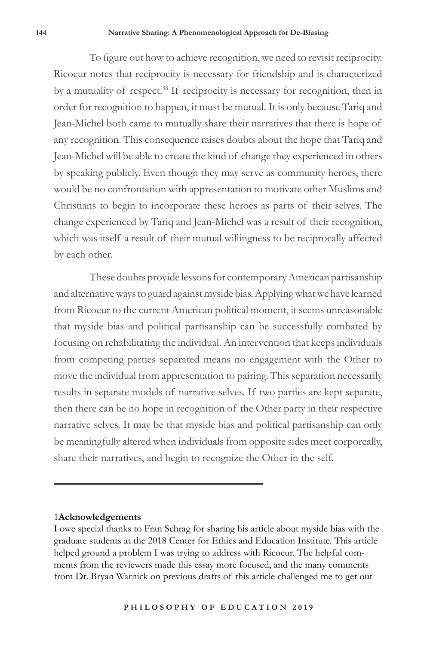To figure out how to achieve recognition, we need to revisit reciprocity. Ricoeur notes that reciprocity is necessary for friendship and is characterized by a mutuality of respect.<sup>38</sup> If reciprocity is necessary for recognition, then in order for recognition to happen, it must be mutual. It is only because Tariq and Jean-Michel both came to mutually share their narratives that there is hope of any recognition. This consequence raises doubts about the hope that Tariq and Jean-Michel will be able to create the kind of change they experienced in others by speaking publicly. Even though they may serve as community heroes, there would be no confrontation with appresentation to motivate other Muslims and Christians to begin to incorporate these heroes as parts of their selves. The change experienced by Tariq and Jean-Michel was a result of their recognition, which was itself a result of their mutual willingness to be reciprocally affected by each other.

These doubts provide lessons for contemporary American partisanship and alternative ways to guard against myside bias. Applying what we have learned from Ricoeur to the current American political moment, it seems unreasonable that myside bias and political partisanship can be successfully combated by focusing on rehabilitating the individual. An intervention that keeps individuals from competing parties separated means no engagement with the Other to move the individual from appresentation to pairing. This separation necessarily results in separate models of narrative selves. If two parties are kept separate, then there can be no hope in recognition of the Other party in their respective narrative selves. It may be that myside bias and political partisanship can only be meaningfully altered when individuals from opposite sides meet corporeally, share their narratives, and begin to recognize the Other in the self.

# 1**Acknowledgements**

I owe special thanks to Fran Schrag for sharing his article about myside bias with the graduate students at the 2018 Center for Ethics and Education Institute. This article helped ground a problem I was trying to address with Ricoeur. The helpful comments from the reviewers made this essay more focused, and the many comments from Dr. Bryan Warnick on previous drafts of this article challenged me to get out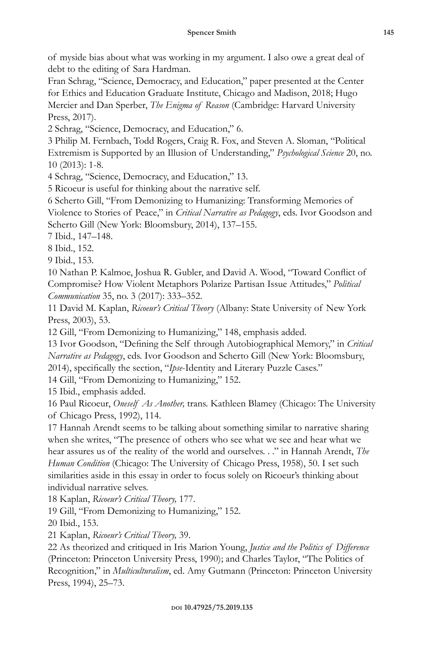of myside bias about what was working in my argument. I also owe a great deal of debt to the editing of Sara Hardman.

Fran Schrag, "Science, Democracy, and Education," paper presented at the Center for Ethics and Education Graduate Institute, Chicago and Madison, 2018; Hugo Mercier and Dan Sperber, *The Enigma of Reason* (Cambridge: Harvard University Press, 2017).

2 Schrag, "Science, Democracy, and Education," 6.

3 Philip M. Fernbach, Todd Rogers, Craig R. Fox, and Steven A. Sloman, "Political Extremism is Supported by an Illusion of Understanding," *Psychological Science* 20, no. 10 (2013): 1-8.

4 Schrag, "Science, Democracy, and Education," 13.

5 Ricoeur is useful for thinking about the narrative self.

6 Scherto Gill, "From Demonizing to Humanizing: Transforming Memories of Violence to Stories of Peace," in *Critical Narrative as Pedagogy*, eds. Ivor Goodson and Scherto Gill (New York: Bloomsbury, 2014), 137–155.

7 Ibid., 147–148.

8 Ibid., 152.

9 Ibid., 153.

10 Nathan P. Kalmoe, Joshua R. Gubler, and David A. Wood, "Toward Conflict of Compromise? How Violent Metaphors Polarize Partisan Issue Attitudes," *Political Communication* 35, no. 3 (2017): 333–352.

11 David M. Kaplan, *Ricoeur's Critical Theory* (Albany: State University of New York Press, 2003), 53.

12 Gill, "From Demonizing to Humanizing," 148, emphasis added.

13 Ivor Goodson, "Defining the Self through Autobiographical Memory," in *Critical Narrative as Pedagogy*, eds. Ivor Goodson and Scherto Gill (New York: Bloomsbury, 2014), specifically the section, "*Ipse*-Identity and Literary Puzzle Cases."

14 Gill, "From Demonizing to Humanizing," 152.

15 Ibid., emphasis added.

16 Paul Ricoeur, *Oneself As Another,* trans. Kathleen Blamey (Chicago: The University of Chicago Press, 1992), 114.

17 Hannah Arendt seems to be talking about something similar to narrative sharing when she writes, "The presence of others who see what we see and hear what we hear assures us of the reality of the world and ourselves. . ." in Hannah Arendt, *The Human Condition* (Chicago: The University of Chicago Press, 1958), 50. I set such similarities aside in this essay in order to focus solely on Ricoeur's thinking about individual narrative selves.

18 Kaplan, *Ricoeur's Critical Theory,* 177.

19 Gill, "From Demonizing to Humanizing," 152.

20 Ibid., 153.

21 Kaplan, *Ricoeur's Critical Theory,* 39.

22 As theorized and critiqued in Iris Marion Young, *Justice and the Politics of Difference*  (Princeton: Princeton University Press, 1990); and Charles Taylor, "The Politics of Recognition," in *Multiculturalism*, ed. Amy Gutmann (Princeton: Princeton University Press, 1994), 25–73.